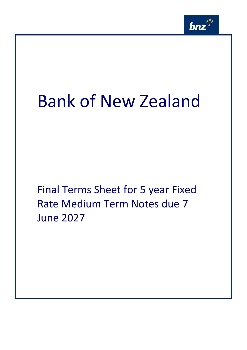

# Bank of New Zealand

Final Terms Sheet for 5 year Fixed Rate Medium Term Notes due 7 June 2027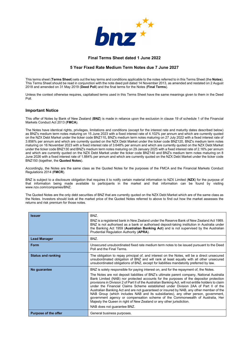

# **Final Terms Sheet dated 1 June 2022**

## **5 Year Fixed Rate Medium Term Notes due 7 June 2027**

This terms sheet (**Terms Sheet**) sets out the key terms and conditions applicable to the notes referred to in this Terms Sheet (the **Notes**). This Terms Sheet should be read in conjunction with the note deed poll dated 14 November 2013, as amended and restated on 2 August 2018 and amended on 31 May 2019 (**Deed Poll**) and the final terms for the Notes (**Final Terms**).

Unless the context otherwise requires, capitalised terms used in this Terms Sheet have the same meanings given to them in the Deed Poll.

## **Important Notice**

This offer of Notes by Bank of New Zealand (**BNZ**) is made in reliance upon the exclusion in clause 19 of schedule 1 of the Financial Markets Conduct Act 2013 (**FMCA**).

The Notes have identical rights, privileges, limitations and conditions (except for the interest rate and maturity dates described below) as BNZ's medium term notes maturing on 15 June 2023 with a fixed interest rate of 4.102% per annum and which are currently quoted on the NZX Debt Market under the ticker code BNZ110**,** BNZ's medium term notes maturing on 27 July 2022 with a fixed interest rate of 3.856% per annum and which are currently quoted on the NZX Debt Market under the ticker code BNZ120, BNZ's medium term notes maturing on 16 November 2023 with a fixed interest rate of 3.648% per annum and which are currently quoted on the NZX Debt Market under the ticker code BNZ130 and BNZ's medium term notes maturing on 29 January 2025 with a fixed interest rate of 2.16% per annum and which are currently quoted on the NZX Debt Market under the ticker code BNZ140 and BNZ's medium term notes maturing on 8 June 2026 with a fixed interest rate of 1.884% per annum and which are currently quoted on the NZX Debt Market under the ticker code BNZ150 (together, the **Quoted Notes**).

Accordingly, the Notes are the same class as the Quoted Notes for the purposes of the FMCA and the Financial Markets Conduct Regulations 2014 (**FMCR**).

BNZ is subject to a disclosure obligation that requires it to notify certain material information to NZX Limited (**NZX**) for the purpose of that information being made available to participants in the market and that information can be found by visiting www.nzx.com/companies/BNZ.

The Quoted Notes are the only debt securities of BNZ that are currently quoted on the NZX Debt Market which are of the same class as the Notes. Investors should look at the market price of the Quoted Notes referred to above to find out how the market assesses the returns and risk premium for those notes.

| <b>Issuer</b>               | BNZ.<br>BNZ is a registered bank in New Zealand under the Reserve Bank of New Zealand Act 1989.<br>BNZ is not authorised as a bank or authorised deposit-taking institution in Australia under<br>the Banking Act 1959 (Australian Banking Act) and is not supervised by the Australian<br>Prudential Regulation Authority (APRA).                                                                                                                                                                                                                                                                                                                                                                                                                                                                                                                      |
|-----------------------------|---------------------------------------------------------------------------------------------------------------------------------------------------------------------------------------------------------------------------------------------------------------------------------------------------------------------------------------------------------------------------------------------------------------------------------------------------------------------------------------------------------------------------------------------------------------------------------------------------------------------------------------------------------------------------------------------------------------------------------------------------------------------------------------------------------------------------------------------------------|
| <b>Lead Manager</b>         | BNZ.                                                                                                                                                                                                                                                                                                                                                                                                                                                                                                                                                                                                                                                                                                                                                                                                                                                    |
| Form                        | Unsecured unsubordinated fixed rate medium term notes to be issued pursuant to the Deed<br>Poll and the Final Terms.                                                                                                                                                                                                                                                                                                                                                                                                                                                                                                                                                                                                                                                                                                                                    |
| <b>Status and ranking</b>   | The obligation to repay principal of, and interest on the Notes, will be a direct unsecured<br>unsubordinated obligation of BNZ and will rank at least equally with all other unsecured<br>unsubordinated obligations of BNZ, except for liabilities mandatorily preferred by law.                                                                                                                                                                                                                                                                                                                                                                                                                                                                                                                                                                      |
| No guarantee                | BNZ is solely responsible for paying interest on, and for the repayment of, the Notes.<br>The Notes are not deposit liabilities of BNZ's ultimate parent company, National Australia<br>Bank Limited (NAB) nor protected accounts for the purposes of the depositor protection<br>provisions in Division 2 of Part II of the Australian Banking Act, will not entitle holders to claim<br>under the Financial Claims Scheme established under Division 2AA of Part II of the<br>Australian Banking Act and are not guaranteed or insured by NAB, any other member of the<br>NAB Group (which includes NAB and its subsidiaries), any other person, government,<br>government agency or compensation scheme of the Commonwealth of Australia, Her<br>Majesty the Queen in right of New Zealand or any other jurisdiction.<br>NAB does not guarantee BNZ. |
| <b>Purpose of the offer</b> | General business purposes.                                                                                                                                                                                                                                                                                                                                                                                                                                                                                                                                                                                                                                                                                                                                                                                                                              |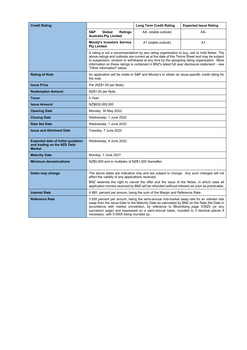| <b>Credit Rating</b>                                                                      |                                                          | <b>Long Term Credit Rating</b>                                                                                                                                                                                                                                                                                                                                                                | <b>Expected Issue Rating</b> |
|-------------------------------------------------------------------------------------------|----------------------------------------------------------|-----------------------------------------------------------------------------------------------------------------------------------------------------------------------------------------------------------------------------------------------------------------------------------------------------------------------------------------------------------------------------------------------|------------------------------|
|                                                                                           | S&P<br>Global<br>Ratings<br><b>Australia Pty Limited</b> | AA- (stable outlook)                                                                                                                                                                                                                                                                                                                                                                          | AA-                          |
|                                                                                           | <b>Moody's Investors Service</b><br><b>Pty Limited</b>   | A1 (stable outlook)                                                                                                                                                                                                                                                                                                                                                                           | A <sub>1</sub>               |
|                                                                                           | "Other information" below.                               | A rating is not a recommendation by any rating organisation to buy, sell or hold Notes. The<br>above ratings and outlooks are current as at the date of this Terms Sheet and may be subject<br>to suspension, revision or withdrawal at any time by the assigning rating organisation. More<br>information on these ratings is contained in BNZ's latest full year disclosure statement - see |                              |
| <b>Rating of Note</b>                                                                     | the note.                                                | An application will be made to S&P and Moody's to obtain an issue-specific credit rating for                                                                                                                                                                                                                                                                                                  |                              |
| <b>Issue Price</b>                                                                        | Par (NZ\$1.00 per Note).                                 |                                                                                                                                                                                                                                                                                                                                                                                               |                              |
| <b>Redemption Amount</b>                                                                  | NZ\$1.00 per Note.                                       |                                                                                                                                                                                                                                                                                                                                                                                               |                              |
| <b>Tenor</b>                                                                              | 5 Year.                                                  |                                                                                                                                                                                                                                                                                                                                                                                               |                              |
| <b>Issue Amount</b>                                                                       | NZ\$650,000,000                                          |                                                                                                                                                                                                                                                                                                                                                                                               |                              |
| <b>Opening Date</b>                                                                       | Monday, 30 May 2022.                                     |                                                                                                                                                                                                                                                                                                                                                                                               |                              |
| <b>Closing Date</b>                                                                       | Wednesday, 1 June 2022                                   |                                                                                                                                                                                                                                                                                                                                                                                               |                              |
| <b>Rate Set Date</b>                                                                      | Wednesday, 1 June 2022                                   |                                                                                                                                                                                                                                                                                                                                                                                               |                              |
| <b>Issue and Allotment Date</b>                                                           | Tuesday, 7 June 2022.                                    |                                                                                                                                                                                                                                                                                                                                                                                               |                              |
| <b>Expected date of initial quotation</b><br>and trading on the NZX Debt<br><b>Market</b> | Wednesday, 8 June 2022.                                  |                                                                                                                                                                                                                                                                                                                                                                                               |                              |
| <b>Maturity Date</b>                                                                      | Monday, 7 June 2027.                                     |                                                                                                                                                                                                                                                                                                                                                                                               |                              |
| <b>Minimum denominations</b>                                                              | NZ\$5,000 and in multiples of NZ\$1,000 thereafter.      |                                                                                                                                                                                                                                                                                                                                                                                               |                              |
| Dates may change                                                                          | affect the validity of any applications received.        | The above dates are indicative only and are subject to change. Any such changes will not                                                                                                                                                                                                                                                                                                      |                              |
|                                                                                           |                                                          | BNZ reserves the right to cancel the offer and the issue of the Notes, in which case all<br>application monies received by BNZ will be refunded (without interest) as soon as practicable.                                                                                                                                                                                                    |                              |
| <b>Interest Rate</b>                                                                      |                                                          | 4.985 percent per annum, being the sum of the Margin and Reference Rate.                                                                                                                                                                                                                                                                                                                      |                              |
| <b>Reference Rate</b>                                                                     | necessary, with 0.0005 being rounded up. .               | 3.935 percent per annum, being the semi-annual mid-market swap rate for an interest rate<br>swap from the Issue Date to the Maturity Date as calculated by BNZ on the Rate Set Date in<br>accordance with market convention, by reference to Bloomberg page ICNZ4 (or any<br>successor page) and expressed on a semi-annual basis, rounded to 3 decimal places if                             |                              |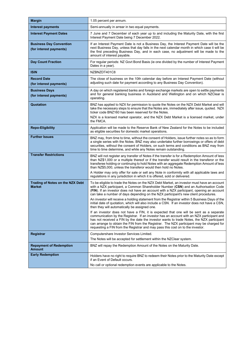| <b>Margin</b>                                             | 1.05 percent per annum.                                                                                                                                                                                                                                                                                                                                                                                                                                        |
|-----------------------------------------------------------|----------------------------------------------------------------------------------------------------------------------------------------------------------------------------------------------------------------------------------------------------------------------------------------------------------------------------------------------------------------------------------------------------------------------------------------------------------------|
| Interest payments                                         | Semi-annually in arrear in two equal payments.                                                                                                                                                                                                                                                                                                                                                                                                                 |
| <b>Interest Payment Dates</b>                             | 7 June and 7 December of each year up to and including the Maturity Date, with the first<br>Interest Payment Date being 7 December 2022.                                                                                                                                                                                                                                                                                                                       |
| <b>Business Day Convention</b><br>(for interest payments) | If an Interest Payment Date is not a Business Day, the Interest Payment Date will be the<br>next Business Day, unless that day falls in the next calendar month in which case it will be<br>the first preceding Business Day, and in each case, no adjustment will be made to the<br>amount of interest payable.                                                                                                                                               |
| <b>Day Count Fraction</b>                                 | For regular periods: NZ Govt Bond Basis (ie one divided by the number of Interest Payment<br>Dates in a year).                                                                                                                                                                                                                                                                                                                                                 |
| <b>ISIN</b>                                               | NZBNZDT401C8                                                                                                                                                                                                                                                                                                                                                                                                                                                   |
| <b>Record Date</b><br>(for interest payments)             | The close of business on the 10th calendar day before an Interest Payment Date (without<br>adjusting such date for payment according to any Business Day Convention).                                                                                                                                                                                                                                                                                          |
| <b>Business Days</b><br>(for interest payments)           | A day on which registered banks and foreign exchange markets are open to settle payments<br>and for general banking business in Auckland and Wellington and on which NZClear is<br>operating.                                                                                                                                                                                                                                                                  |
| Quotation                                                 | BNZ has applied to NZX for permission to quote the Notes on the NZX Debt Market and will<br>take the necessary steps to ensure that the Notes are, immediately after issue, quoted. NZX<br>ticker code BNZ160 has been reserved for the Notes.                                                                                                                                                                                                                 |
|                                                           | NZX is a licensed market operator, and the NZX Debt Market is a licensed market, under<br>the FMCA.                                                                                                                                                                                                                                                                                                                                                            |
| <b>Repo-Eligibility</b>                                   | Application will be made to the Reserve Bank of New Zealand for the Notes to be included<br>as eligible securities for domestic market operations.                                                                                                                                                                                                                                                                                                             |
| <b>Further Issues</b>                                     | BNZ may, from time to time, without the consent of Holders, issue further notes so as to form<br>a single series with the Notes. BNZ may also undertake further borrowings or offers of debt<br>securities, without the consent of Holders, on such terms and conditions as BNZ may from<br>time to time determine, and while any Notes remain outstanding.                                                                                                    |
| <b>Transfer Restrictions</b>                              | BNZ will not register any transfer of Notes if the transfer is for a Redemption Amount of less<br>than NZ\$1,000 or a multiple thereof or if the transfer would result in the transferor or the<br>transferee holding or continuing to hold Notes with an aggregate Redemption Amount of less<br>than NZ\$5,000, unless the transferor would then hold no Notes.                                                                                               |
|                                                           | A Holder may only offer for sale or sell any Note in conformity with all applicable laws and<br>regulations in any jurisdiction in which it is offered, sold or delivered.                                                                                                                                                                                                                                                                                     |
| Trading of Notes on the NZX Debt<br><b>Market</b>         | To be eligible to trade the Notes on the NZX Debt Market, an investor must have an account<br>with a NZX participant, a Common Shareholder Number (CSN) and an Authorisation Code<br>(FIN). If an investor does not have an account with a NZX participant, opening an account<br>can take a number of days depending on the NZX participant's new client procedures.                                                                                          |
|                                                           | An investor will receive a holding statement from the Registrar within 5 Business Days of the<br>initial date of quotation, which will also include a CSN. If an investor does not have a CSN,<br>then they will automatically be assigned one.                                                                                                                                                                                                                |
|                                                           | If an investor does not have a FIN, it is expected that one will be sent as a separate<br>communication by the Registrar. If an investor has an account with an NZX participant and<br>has not received a FIN by the date the investor wants to trade Notes, the NZX participant<br>can arrange to obtain the FIN from the Registrar. The NZX participant may be charged for<br>requesting a FIN from the Registrar and may pass this cost on to the investor. |
| Registrar                                                 | Computershare Investor Services Limited.<br>The Notes will be accepted for settlement within the NZClear system.                                                                                                                                                                                                                                                                                                                                               |
| <b>Repayment of Redemption</b><br><b>Amount</b>           | BNZ will repay the Redemption Amount of the Notes on the Maturity Date.                                                                                                                                                                                                                                                                                                                                                                                        |
| <b>Early Redemption</b>                                   | Holders have no right to require BNZ to redeem their Notes prior to the Maturity Date except<br>if an Event of Default occurs.                                                                                                                                                                                                                                                                                                                                 |
|                                                           | No call or optional redemption events are applicable to the Notes.                                                                                                                                                                                                                                                                                                                                                                                             |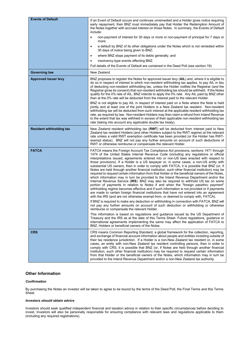| <b>Events of Default</b>        | If an Event of Default occurs and continues unremedied and a Holder gives notice requiring<br>early repayment, then BNZ must immediately pay that Holder the Redemption Amount of<br>the Notes together with accrued interest on those Notes. In summary, the Events of Default<br>include:<br>non-payment of interest for 30 days or more or non-payment of principal for 7 days or<br>$\bullet$                                                                                                                                                                                                                                                                                                                                                                                                                                                                                                                                                                                                                                                                                                                                                                                                                                |
|---------------------------------|----------------------------------------------------------------------------------------------------------------------------------------------------------------------------------------------------------------------------------------------------------------------------------------------------------------------------------------------------------------------------------------------------------------------------------------------------------------------------------------------------------------------------------------------------------------------------------------------------------------------------------------------------------------------------------------------------------------------------------------------------------------------------------------------------------------------------------------------------------------------------------------------------------------------------------------------------------------------------------------------------------------------------------------------------------------------------------------------------------------------------------------------------------------------------------------------------------------------------------|
|                                 | more;<br>a default by BNZ of its other obligations under the Notes which is not remedied within<br>$\bullet$<br>30 days of notice being given to BNZ;                                                                                                                                                                                                                                                                                                                                                                                                                                                                                                                                                                                                                                                                                                                                                                                                                                                                                                                                                                                                                                                                            |
|                                 | where BNZ stops payment of its debts generally; and<br>$\bullet$                                                                                                                                                                                                                                                                                                                                                                                                                                                                                                                                                                                                                                                                                                                                                                                                                                                                                                                                                                                                                                                                                                                                                                 |
|                                 | insolvency-type events affecting BNZ.                                                                                                                                                                                                                                                                                                                                                                                                                                                                                                                                                                                                                                                                                                                                                                                                                                                                                                                                                                                                                                                                                                                                                                                            |
|                                 | Full details of the Events of Default are contained in the Deed Poll (see section 19).                                                                                                                                                                                                                                                                                                                                                                                                                                                                                                                                                                                                                                                                                                                                                                                                                                                                                                                                                                                                                                                                                                                                           |
| <b>Governing law</b>            | New Zealand.                                                                                                                                                                                                                                                                                                                                                                                                                                                                                                                                                                                                                                                                                                                                                                                                                                                                                                                                                                                                                                                                                                                                                                                                                     |
| <b>Approved issuer levy</b>     | BNZ proposes to register the Notes for approved issuer levy (AIL) and, where it is eligible to<br>do so in respect of interest to which non-resident withholding tax applies, to pay AIL in lieu<br>of deducting non-resident withholding tax, unless the Holder notifies the Registrar (and the<br>Registrar gives its consent) that non-resident withholding tax should be withheld. If the Notes<br>qualify for the 0% rate of AIL, BNZ intends to apply the 0% rate. Any AIL paid by BNZ other<br>than at the 0% rate will be deducted from the interest paid to the relevant Holder.<br>BNZ is not eligible to pay AIL in respect of interest paid on a Note where the Note is held                                                                                                                                                                                                                                                                                                                                                                                                                                                                                                                                         |
|                                 | jointly and at least one of the joint Holders is a New Zealand tax resident. Non-resident<br>withholding tax will be deducted from such interest at the applicable resident withholding tax<br>rate, as required by law. Non-resident Holders may then claim a refund from Inland Revenue<br>to the extent that tax was withheld in excess of their applicable non-resident withholding tax<br>rate (taking into account any applicable double tax treaty).                                                                                                                                                                                                                                                                                                                                                                                                                                                                                                                                                                                                                                                                                                                                                                      |
| <b>Resident withholding tax</b> | New Zealand resident withholding tax (RWT) will be deducted from interest paid to New<br>Zealand tax resident Holders (and other Holders subject to the RWT regime) at the relevant<br>rate unless a valid RWT exemption certificate has been provided (or the Holder has RWT-<br>exempt status). BNZ will not pay any further amounts on account of such deductions of<br>RWT or otherwise reimburse or compensate the relevant Holder.                                                                                                                                                                                                                                                                                                                                                                                                                                                                                                                                                                                                                                                                                                                                                                                         |
| <b>FATCA</b>                    | FATCA means the Foreign Account Tax Compliance Act provisions, sections 1471 through<br>1474 of the United States Internal Revenue Code (including any regulations or official<br>interpretations issued, agreements entered into or non-US laws enacted with respect to<br>those provisions). If a Holder is a US taxpayer or, in some cases, a non-US entity with<br>substantial US owners, then in order to comply with FATCA, it is possible that BNZ (or, if<br>Notes are held through another financial institution, such other financial institution) may be<br>required to request certain information from that Holder or the beneficial owners of the Notes,<br>which information may in turn be provided to the Inland Revenue Department and/or the<br>Internal Revenue Service (IRS). BNZ may also be required to withhold US tax on some<br>portion of payments in relation to Notes if and when the "foreign passthru payment"<br>withholding regime becomes effective and if such information is not provided or if payments<br>are made to certain foreign financial institutions that have not entered into an agreement<br>with the IRS (and are not otherwise exempt from, or deemed to comply with, FATCA). |
|                                 | If BNZ is required to make any deduction or withholding in connection with FATCA, BNZ will<br>not pay any further amounts on account of such deduction or withholding or otherwise<br>reimburse or compensate the relevant Holder.                                                                                                                                                                                                                                                                                                                                                                                                                                                                                                                                                                                                                                                                                                                                                                                                                                                                                                                                                                                               |
|                                 | This information is based on regulations and guidance issued by the US Department of<br>Treasury and the IRS as at the date of this Terms Sheet. Future regulations, guidance or<br>international agreements implementing the same may affect the application of FATCA to<br>BNZ, Holders or beneficial owners of the Notes.                                                                                                                                                                                                                                                                                                                                                                                                                                                                                                                                                                                                                                                                                                                                                                                                                                                                                                     |
| <b>CRS</b>                      | CRS means Common Reporting Standard, a global framework for the collection, reporting,<br>and exchange of financial account information about people and entities investing outside of<br>their tax residence jurisdiction. If a Holder is a non-New Zealand tax resident or, in some<br>cases, an entity with non-New Zealand tax resident controlling persons, then in order to<br>comply with CRS, it is possible that BNZ (or, if Notes are held through another financial<br>institution, such other financial institution) may be required to request certain information<br>from that Holder or the beneficial owners of the Notes, which information may in turn be<br>provided to the Inland Revenue Department and/or a non-New Zealand tax authority.                                                                                                                                                                                                                                                                                                                                                                                                                                                                 |

# **Other Information**

## *Confirmation*

By purchasing the Notes an investor will be taken to agree to be bound by the terms of the Deed Poll, the Final Terms and this Terms Sheet.

## *Investors should obtain advice*

Investors should seek qualified independent financial and taxation advice in relation to their specific circumstances before deciding to invest. Investors will also be personally responsible for ensuring compliance with relevant laws and regulations applicable to them (including any required registrations).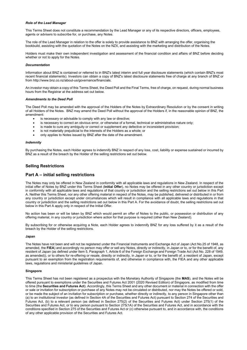#### *Role of the Lead Manager*

This Terms Sheet does not constitute a recommendation by the Lead Manager or any of its respective directors, officers, employees, agents or advisers to subscribe for, or purchase, any Notes.

The role of the Lead Manager in relation to the offer is solely to provide assistance to BNZ with arranging the offer, organising the bookbuild, assisting with the quotation of the Notes on the NZX, and assisting with the marketing and distribution of the Notes.

Holders must make their own independent investigation and assessment of the financial condition and affairs of BNZ before deciding whether or not to apply for the Notes.

#### *Documentation*

Information about BNZ is contained or referred to in BNZ's latest interim and full year disclosure statements (which contain BNZ's most recent financial statements). Investors can obtain a copy of BNZ's latest disclosure statements free of charge at any branch of BNZ or from http://www.bnz.co.nz/about-us/governance/financials.

An investor may obtain a copy of this Terms Sheet, the Deed Poll and the Final Terms, free of charge, on request, during normal business hours from the Registrar at the address set out below.

#### *Amendments to the Deed Poll*

The Deed Poll may be amended with the approval of the Holders of the Notes by Extraordinary Resolution or by the consent in writing of all Holders of the Notes. BNZ may amend the Deed Poll without the approval of the Holders if, in the reasonable opinion of BNZ, the amendment:

- is necessary or advisable to comply with any law or directive;
- is necessary to correct an obvious error, or otherwise of a formal, technical or administrative nature only;
- is made to cure any ambiguity or correct or supplement any defective or inconsistent provision;
- is not materially prejudicial to the interests of the Holders as a whole; or
- only applies to Notes issued by BNZ after the date of the amendment.

#### *Indemnity*

By purchasing the Notes, each Holder agrees to indemnify BNZ in respect of any loss, cost, liability or expense sustained or incurred by BNZ as a result of the breach by the Holder of the selling restrictions set out below.

## **Selling Restrictions**

# **Part A – initial selling restrictions**

The Notes may only be offered in New Zealand in conformity with all applicable laws and regulations in New Zealand. In respect of the initial offer of Notes by BNZ under this Terms Sheet (**Initial Offer**), no Notes may be offered in any other country or jurisdiction except in conformity with all applicable laws and regulations of that country or jurisdiction and the selling restrictions set out below in this Part A. Neither this Terms Sheet, nor any other offering material in respect of the Notes, may be published, delivered or distributed in or from any country or jurisdiction except under circumstances which will result in compliance with all applicable laws and regulations in that country or jurisdiction and the selling restrictions set out below in this Part A. For the avoidance of doubt, the selling restrictions set out below in this Part A apply only in respect of the Initial Offer.

No action has been or will be taken by BNZ which would permit an offer of Notes to the public, or possession or distribution of any offering material, in any country or jurisdiction where action for that purpose is required (other than New Zealand).

By subscribing for or otherwise acquiring a Note, each Holder agrees to indemnify BNZ for any loss suffered by it as a result of the breach by the Holder of the selling restrictions.

#### **Japan**

The Notes have not been and will not be registered under the Financial Instruments and Exchange Act of Japan (Act No.25 of 1948, as amended, the **FIEA**) and accordingly no person may offer or sell any Notes, directly or indirectly, in Japan or to, or for the benefit of, any resident of Japan (as defined under Item 5, Paragraph 1, Article 6 of the Foreign Exchange and Foreign Trade Act (Act No. 228 of 1949, as amended)), or to others for re-offering or resale, directly or indirectly, in Japan or to, or for the benefit of, a resident of Japan, except pursuant to an exemption from the registration requirements of, and otherwise in compliance with, the FIEA and any other applicable laws, regulations and ministerial guidelines of Japan.

## **Singapore**

This Terms Sheet has not been registered as a prospectus with the Monetary Authority of Singapore (the **MAS**), and the Notes will be offered pursuant to exemptions under the Securities and Futures Act 2001 (2020 Revised Edition) of Singapore, as modified from time to time (the **Securities and Futures Act**). Accordingly, this Terms Sheet and any other document or material in connection with the offer or sale or invitation for subscription or purchase of any Notes may not be circulated or distributed, nor may the Notes be offered or sold, or be made the subject of an invitation for subscription or purchase, whether directly or indirectly, to any person in Singapore other than (a) to an institutional investor (as defined in Section 4A of the Securities and Futures Act) pursuant to Section 274 of the Securities and Futures Act, (b) to a relevant person (as defined in Section 275(2) of the Securities and Futures Act) under Section 275(1) of the Securities and Futures Act, or to any person pursuant to Section 275(1A) of the Securities and Futures Act, and in accordance with the conditions specified in Section 275 of the Securities and Futures Act or (c) otherwise pursuant to, and in accordance with, the conditions of any other applicable provision of the Securities and Futures Act.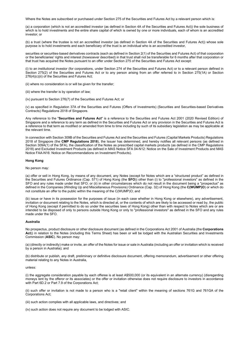Where the Notes are subscribed or purchased under Section 275 of the Securities and Futures Act by a relevant person which is:

(a) a corporation (which is not an accredited investor (as defined in Section 4A of the Securities and Futures Act)) the sole business of which is to hold investments and the entire share capital of which is owned by one or more individuals, each of whom is an accredited investor; or

(b) a trust (where the trustee is not an accredited investor (as defined in Section 4A of the Securities and Futures Act)) whose sole purpose is to hold investments and each beneficiary of the trust is an individual who is an accredited investor,

securities or securities-based derivatives contracts (each as defined in Section 2(1) of the Securities and Futures Act) of that corporation or the beneficiaries' rights and interest (howsoever described) in that trust shall not be transferable for 6 months after that corporation or that trust has acquired the Notes pursuant to an offer under Section 275 of the Securities and Futures Act except:

(i) to an institutional investor (for corporations, under Section 274 of the Securities and Futures Act) or to a relevant person defined in Section 275(2) of the Securities and Futures Act or to any person arising from an offer referred to in Section 275(1A) or Section 276(4)(c)(ii) of the Securities and Futures Act;

(ii) where no consideration is or will be given for the transfer;

(iii) where the transfer is by operation of law;

(iv) pursuant to Section 276(7) of the Securities and Futures Act; or

(v) as specified in Regulation 37A of the Securities and Futures (Offers of Investments) (Securities and Securities-based Derivatives Contracts) Regulations 2018 of Singapore.

Any reference to the "**Securities and Futures Act**" is a reference to the Securities and Futures Act 2001 (2020 Revised Edition) of Singapore and a reference to any term as defined in the Securities and Futures Act or any provision in the Securities and Futures Act is a reference to that term as modified or amended from time to time including by such of its subsidiary legislation as may be applicable at the relevant time.

In connection with Section 309B of the Securities and Futures Act and the Securities and Futures (Capital Markets Products) Regulations 2018 of Singapore (the **CMP Regulations 2018**), the Issuer has determined, and hereby notifies all relevant persons (as defined in Section 309A(1) of the SFA), the classification of the Notes as prescribed capital markets products (as defined in the CMP Regulations 2018) and Excluded Investment Products (as defined in MAS Notice SFA 04-N12: Notice on the Sale of Investment Products and MAS Notice FAA-N16: Notice on Recommendations on Investment Products).

#### **Hong Kong**

#### No person may:

(a) offer or sell in Hong Kong, by means of any document, any Notes (except for Notes which are a "structured product" as defined in the Securities and Futures Ordinance (Cap. 571) of Hong Kong (the **SFO**)) other than (i) to "professional investors" as defined in the SFO and any rules made under that SFO; or (ii) in other circumstances which do not result in the document being a "prospectus" as defined in the Companies (Winding Up and Miscellaneous Provisions) Ordinance (Cap. 32) of Hong Kong (the **C(WUMP)O**) or which do not constitute an offer to the public within the meaning of the C(WUMP)O; and

(b) issue or have in its possession for the purposes of issue (in each case whether in Hong Kong or elsewhere), any advertisement, invitation or document relating to the Notes, which is directed at, or the contents of which are likely to be accessed or read by, the public of Hong Kong (except if permitted to do so under the securities laws of Hong Kong) other than with respect to Notes which are or are intended to be disposed of only to persons outside Hong Kong or only to "professional investors" as defined in the SFO and any rules made under the SFO.

#### **Australia**

No prospectus, product disclosure or other disclosure document (as defined in the Corporations Act 2001 of Australia (the **Corporations Act**)) in relation to the Notes (including this Terms Sheet) has been or will be lodged with the Australian Securities and Investments Commission (**ASIC**). No person may:

(a) (directly or indirectly) make or invite, an offer of the Notes for issue or sale in Australia (including an offer or invitation which is received by a person in Australia); and

(b) distribute or publish, any draft, preliminary or definitive disclosure document, offering memorandum, advertisement or other offering material relating to any Notes in Australia,

#### unless:

(i) the aggregate consideration payable by each offeree is at least A\$500,000 (or its equivalent in an alternate currency) (disregarding moneys lent by the offeror or its associates) or the offer or invitation otherwise does not require disclosure to investors in accordance with Part 6D.2 or Part 7.9 of the Corporations Act;

(ii) such offer or invitation is not made to a person who is a "retail client" within the meaning of sections 761G and 761GA of the Corporations Act;

(iii) such action complies with all applicable laws, and directives; and

(iv) such action does not require any document to be lodged with ASIC.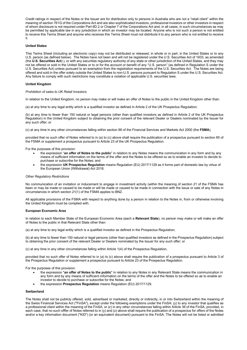Credit ratings in respect of the Notes or the Issuer are for distribution only to persons in Australia who are not a "retail client" within the meaning of section 761G of the Corporations Act and are also sophisticated investors, professional investors or other investors in respect of whom disclosure is not required under Part 6D.2 or Chapter 7 of the Corporations Act and, in all cases, in such circumstances as may be permitted by applicable law in any jurisdiction in which an investor may be located. Anyone who is not such a person is not entitled to receive this Terms Sheet and anyone who receives this Terms Sheet must not distribute it to any person who is not entitled to receive it.

#### **United States**

This Terms Sheet (including an electronic copy) may not be distributed or released, in whole or in part, in the United States or to any U.S. person (as defined below). The Notes have not been and will not be registered under the U.S. Securities Act of 1933, as amended (the **U.S. Securities Act**) ), or with any securities regulatory authority of any state or other jurisdiction of the United States, and they may not be offered or sold in the United States or to or for the account or benefit of any "U.S. person" (as defined in Regulation S under the U.S. Securities Act) unless pursuant to an exemption from the registration requirements of the U.S. Securities Act. The Notes are being offered and sold in the offer solely outside the United States to non-U.S. persons pursuant to Regulation S under the U.S. Securities Act. Any failure to comply with such restrictions may constitute a violation of applicable U.S. securities laws.

#### **United Kingdom**

#### *Prohibition of sales to UK Retail Investors*

In relation to the United Kingdom, no person may make or will make an offer of Notes to the public in the United Kingdom other than:

(a) at any time to any legal entity which is a qualified investor as defined in Article 2 of the UK Prospectus Regulation;

(b) at any time to fewer than 150 natural or legal persons (other than qualified investors as defined in Article 2 of the UK Prospectus Regulation) in the United Kingdom subject to obtaining the prior consent of the relevant Dealer or Dealers nominated by the Issuer for any such offer; or

(c) at any time in any other circumstances falling within section 86 of the Financial Services and Markets Act 2000 (the **FSMA**),

provided that no such offer of Notes referred to in (a) to (c) above shall require the publication of a prospectus pursuant to section 85 of the FSMA or supplement a prospectus pursuant to Article 23 of the UK Prospectus Regulation.

For the purposes of this provision:

- the expression "**an offer of Notes to the public**" in relation to any Notes means the communication in any form and by any means of sufficient information on the terms of the offer and the Notes to be offered so as to enable an investor to decide to purchase or subscribe for the Notes; and
- the expression **UK Prospectus Regulation** means Regulation (EU) 2017/1129 as it forms part of domestic law by virtue of the European Union (Withdrawal) Act 2018.

#### *Other Regulatory Restrictions*

No communication of an invitation or inducement to engage in investment activity (within the meaning of section 21 of the FSMA has been or may be made or caused to be made or will be made or caused to be made in connection with the issue or sale of any Notes in circumstances in which section 21(1) of the FSMA applies to BNZ.

All applicable provisions of the FSMA with respect to anything done by a person in relation to the Notes in, from or otherwise involving the United Kingdom must be complied with.

## **European Economic Area**

In relation to each Member State of the European Economic Area (each a **Relevant State**), no person may make or will make an offer of Notes to the public in that Relevant State other than:

(a) at any time to any legal entity which is a qualified investor as defined in the Prospectus Regulation;

(b) at any time to fewer than 150 natural or legal persons (other than qualified investors as defined in the Prospectus Regulation) subject to obtaining the prior consent of the relevant Dealer or Dealers nominated by the Issuer for any such offer; or

(c) at any time in any other circumstances falling within Article 1(4) of the Prospectus Regulation,

provided that no such offer of Notes referred to in (a) to (c) above shall require the publication of a prospectus pursuant to Article 3 of the Prospectus Regulation or supplement a prospectus pursuant to Article 23 of the Prospectus Regulation.

For the purposes of this provision:

- the expression "**an offer of Notes to the public**" in relation to any Notes in any Relevant State means the communication in any form and by any means of sufficient information on the terms of the offer and the Notes to be offered so as to enable an investor to decide to purchase or subscribe for the Notes; and
- the expression **Prospectus Regulation** means Regulation (EU) 2017/1129.

#### **Switzerland**

The Notes shall not be publicly offered, sold, advertised or marketed, directly or indirectly, in or into Switzerland within the meaning of the Swiss Financial Services Act ("FinSA"), except under the following exemptions under the FinSA: (y) to any investor that qualifies as a professional client within the meaning of the FinSA, or (z) in any other circumstances falling within Article 36 of the FinSA, provided, in each case, that no such offfer of Notes referred to in (y) and (z) above shall require the publication of a prospectus for offers of the Notes and/or a key information document ("KID") (or an equivalent document) pursuant to the FinSA. The Notes will not be listed or admitted